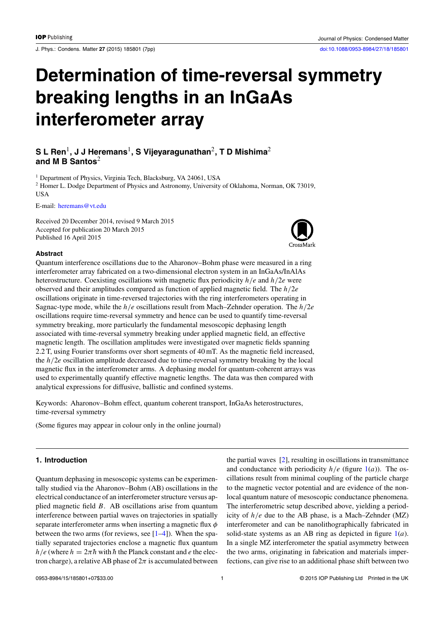J. Phys.: Condens. Matter **27** (2015) 185801 (7pp) [doi:10.1088/0953-8984/27/18/185801](http://dx.doi.org/10.1088/0953-8984/27/18/185801)

# **Determination of time-reversal symmetry breaking lengths in an InGaAs interferometer array**

# **S L Ren**1**, J J Heremans**1**, S Vijeyaragunathan**2**, T D Mishima**<sup>2</sup> **and M B Santos**<sup>2</sup>

<sup>1</sup> Department of Physics, Virginia Tech, Blacksburg, VA 24061, USA <sup>2</sup> Homer L. Dodge Department of Physics and Astronomy, University of Oklahoma, Norman, OK 73019, **USA** 

E-mail: [heremans@vt.edu](mailto: heremans@vt.edu)

Received 20 December 2014, revised 9 March 2015 Accepted for publication 20 March 2015 Published 16 April 2015



### **Abstract**

Quantum interference oscillations due to the Aharonov–Bohm phase were measured in a ring interferometer array fabricated on a two-dimensional electron system in an InGaAs/InAlAs heterostructure. Coexisting oscillations with magnetic flux periodicity *h/e* and *h/*2*e* were observed and their amplitudes compared as function of applied magnetic field. The *h/*2*e* oscillations originate in time-reversed trajectories with the ring interferometers operating in Sagnac-type mode, while the *h/e* oscillations result from Mach–Zehnder operation. The *h/*2*e* oscillations require time-reversal symmetry and hence can be used to quantify time-reversal symmetry breaking, more particularly the fundamental mesoscopic dephasing length associated with time-reversal symmetry breaking under applied magnetic field, an effective magnetic length. The oscillation amplitudes were investigated over magnetic fields spanning 2.2 T, using Fourier transforms over short segments of 40 mT. As the magnetic field increased, the *h/*2*e* oscillation amplitude decreased due to time-reversal symmetry breaking by the local magnetic flux in the interferometer arms. A dephasing model for quantum-coherent arrays was used to experimentally quantify effective magnetic lengths. The data was then compared with analytical expressions for diffusive, ballistic and confined systems.

Keywords: Aharonov–Bohm effect, quantum coherent transport, InGaAs heterostructures, time-reversal symmetry

(Some figures may appear in colour only in the online journal)

## **1. Introduction**

Quantum dephasing in mesoscopic systems can be experimentally studied via the Aharonov–Bohm (AB) oscillations in the electrical conductance of an interferometer structure versus applied magnetic field *B*. AB oscillations arise from quantum interference between partial waves on trajectories in spatially separate interferometer arms when inserting a magnetic flux *φ* between the two arms (for reviews, see  $[1-4]$ ). When the spatially separated trajectories enclose a magnetic flux quantum *h/e* (where  $h = 2\pi \hbar$  with  $\hbar$  the Planck constant and *e* the electron charge), a relative AB phase of  $2\pi$  is accumulated between the partial waves [\[2\]](#page-5-0), resulting in oscillations in transmittance and conductance with periodicity  $h/e$  (figure [1\(](#page-1-0)*a*)). The oscillations result from minimal coupling of the particle charge to the magnetic vector potential and are evidence of the nonlocal quantum nature of mesoscopic conductance phenomena. The interferometric setup described above, yielding a periodicity of *h/e* due to the AB phase, is a Mach–Zehnder (MZ) interferometer and can be nanolithographically fabricated in solid-state systems as an AB ring as depicted in figure [1\(](#page-1-0)*a*). In a single MZ interferometer the spatial asymmetry between the two arms, originating in fabrication and materials imperfections, can give rise to an additional phase shift between two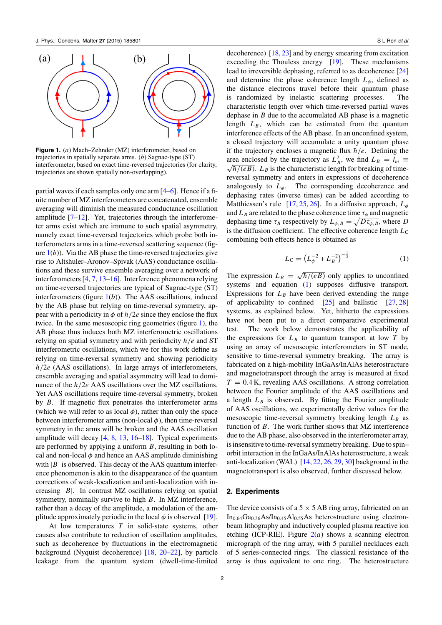<span id="page-1-0"></span>

**Figure 1.** (*a*) Mach–Zehnder (MZ) interferometer, based on trajectories in spatially separate arms. (*b*) Sagnac-type (ST) interferometer, based on exact time-reversed trajectories (for clarity, trajectories are shown spatially non-overlapping).

partial waves if each samples only one arm [\[4–6\]](#page-5-0). Hence if a finite number of MZ interferometers are concatenated, ensemble averaging will diminish the measured conductance oscillation amplitude  $[7-12]$ . Yet, trajectories through the interferometer arms exist which are immune to such spatial asymmetry, namely exact time-reversed trajectories which probe both interferometers arms in a time-reversed scattering sequence (figure  $1(b)$ ). Via the AB phase the time-reversed trajectories give rise to Altshuler–Aronov–Spivak (AAS) conductance oscillations and these survive ensemble averaging over a network of interferometers [\[4,](#page-5-0) [7,](#page-5-0) [13–16\]](#page-6-0). Interference phenomena relying on time-reversed trajectories are typical of Sagnac-type (ST) interferometers (figure 1(*b*)). The AAS oscillations, induced by the AB phase but relying on time-reversal symmetry, appear with a periodicity in  $\phi$  of  $h/2e$  since they enclose the flux twice. In the same mesoscopic ring geometries (figure 1), the AB phase thus induces both MZ interferometric oscillations relying on spatial symmetry and with periodicity *h/e* and ST interferometric oscillations, which we for this work define as relying on time-reversal symmetry and showing periodicity *h/*2*e* (AAS oscillations). In large arrays of interferometers, ensemble averaging and spatial asymmetry will lead to dominance of the  $h/2e$  AAS oscillations over the MZ oscillations. Yet AAS oscillations require time-reversal symmetry, broken by *B*. If magnetic flux penetrates the interferometer arms (which we will refer to as local  $\phi$ ), rather than only the space between interferometer arms (non-local  $\phi$ ), then time-reversal symmetry in the arms will be broken and the AAS oscillation amplitude will decay [\[4,](#page-5-0) [8,](#page-5-0) [13,](#page-6-0) [16–18\]](#page-6-0). Typical experiments are performed by applying a uniform *B*, resulting in both local and non-local  $\phi$  and hence an AAS amplitude diminishing with  $|B|$  is observed. This decay of the AAS quantum interference phenomenon is akin to the disappearance of the quantum corrections of weak-localization and anti-localization with increasing |*B*|. In contrast MZ oscillations relying on spatial symmetry, nominally survive to high *B*. In MZ interference, rather than a decay of the amplitude, a modulation of the amplitude approximately periodic in the local  $\phi$  is observed [\[19\]](#page-6-0).

At low temperatures *T* in solid-state systems, other causes also contribute to reduction of oscillation amplitudes, such as decoherence by fluctuations in the electromagnetic background (Nyquist decoherence) [\[18,](#page-6-0) [20–22\]](#page-6-0), by particle leakage from the quantum system (dwell-time-limited decoherence) [\[18,](#page-6-0) [23\]](#page-6-0) and by energy smearing from excitation exceeding the Thouless energy [\[19\]](#page-6-0). These mechanisms lead to irreversible dephasing, referred to as decoherence [\[24\]](#page-6-0) and determine the phase coherence length  $L_{\phi}$ , defined as the distance electrons travel before their quantum phase is randomized by inelastic scattering processes. The characteristic length over which time-reversed partial waves dephase in *B* due to the accumulated AB phase is a magnetic length  $L_B$ , which can be estimated from the quantum interference effects of the AB phase. In an unconfined system, a closed trajectory will accumulate a unity quantum phase if the trajectory encloses a magnetic flux  $\hbar/e$ . Defining the area enclosed by the trajectory as  $L_B^2$ , we find  $L_B = l_m \equiv \sqrt{\hbar/(eB)}$ .  $L_B$  is the characteristic length for breaking of timereversal symmetry and enters in expressions of decoherence analogously to  $L_{\phi}$ . The corresponding decoherence and dephasing rates (inverse times) can be added according to Matthiessen's rule [\[17,](#page-6-0) [25,](#page-6-0) [26\]](#page-6-0). In a diffusive approach, *Lφ* and  $L_B$  are related to the phase coherence time  $\tau_\phi$  and magnetic dephasing time  $\tau_B$  respectively by  $L_{\phi,B} = \sqrt{D \tau_{\phi,B}}$ , where *D* is the diffusion coefficient. The effective coherence length  $L<sub>C</sub>$ combining both effects hence is obtained as

$$
L_{\rm C} = \left(L_{\phi}^{-2} + L_B^{-2}\right)^{-\frac{1}{2}}\tag{1}
$$

The expression  $L_B = \sqrt{\hbar/(eB)}$  only applies to unconfined systems and equation (1) supposes diffusive transport. Expressions for  $L_B$  have been derived extending the range of applicability to confined  $[25]$  and ballistic  $[27, 28]$  $[27, 28]$  $[27, 28]$ systems, as explained below. Yet, hitherto the expressions have not been put to a direct comparative experimental test. The work below demonstrates the applicability of the expressions for  $L_B$  to quantum transport at low  $T$  by using an array of mesoscopic interferometers in ST mode, sensitive to time-reversal symmetry breaking. The array is fabricated on a high-mobility InGaAs/InAlAs heterostructure and magnetotransport through the array is measured at fixed  $T = 0.4$  K, revealing AAS oscillations. A strong correlation between the Fourier amplitude of the AAS oscillations and a length  $L_B$  is observed. By fitting the Fourier amplitude of AAS oscillations, we experimentally derive values for the mesoscopic time-reversal symmetry breaking length  $L_B$  as function of *B*. The work further shows that MZ interference due to the AB phase, also observed in the interferometer array, is insensitive to time-reversal symmetry breaking. Due to spin– orbit interaction in the InGaAs/InAlAs heterostructure, a weak anti-localization (WAL) [\[14,](#page-6-0) [22,](#page-6-0) [26,](#page-6-0) [29,](#page-6-0) [30\]](#page-6-0) background in the magnetotransport is also observed, further discussed below.

#### **2. Experiments**

The device consists of a  $5 \times 5$  AB ring array, fabricated on an In<sub>0.64</sub>Ga<sub>0.36</sub>As/In<sub>0.45</sub>Al<sub>0.55</sub>As heterostructure using electronbeam lithography and inductively coupled plasma reactive ion etching (ICP-RIE). Figure  $2(a)$  $2(a)$  shows a scanning electron micrograph of the ring array, with 5 parallel necklaces each of 5 series-connected rings. The classical resistance of the array is thus equivalent to one ring. The heterostructure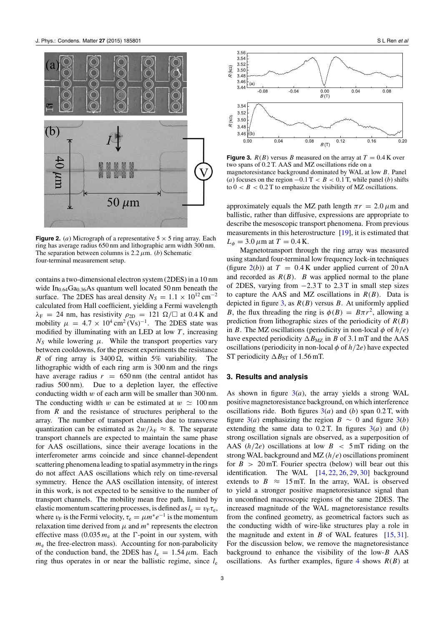<span id="page-2-0"></span>

**Figure 2.** (*a*) Micrograph of a representative  $5 \times 5$  ring array. Each ring has average radius 650 nm and lithographic arm width 300 nm. The separation between columns is  $2.2 \mu$ m. (*b*) Schematic four-terminal measurement setup.

contains a two-dimensional electron system (2DES) in a 10 nm wide In<sub>0.64</sub>Ga<sub>0.36</sub>As quantum well located 50 nm beneath the surface. The 2DES has areal density  $N_S = 1.1 \times 10^{12} \text{ cm}^{-2}$ calculated from Hall coefficient, yielding a Fermi wavelength  $\lambda_F = 24$  nm, has resistivity  $\rho_{2D} = 121 \Omega / \square$  at 0.4 K and mobility  $\mu = 4.7 \times 10^4 \text{ cm}^2 \text{ (Vs)}^{-1}$ . The 2DES state was modified by illuminating with an LED at low *T* , increasing  $N<sub>S</sub>$  while lowering  $\mu$ . While the transport properties vary between cooldowns, for the present experiments the resistance *R* of ring array is  $3400 \Omega$ , within 5% variability. The lithographic width of each ring arm is 300 nm and the rings have average radius  $r = 650 \text{ nm}$  (the central antidot has radius 500 nm). Due to a depletion layer, the effective Due to a depletion layer, the effective conducting width *w* of each arm will be smaller than 300 nm. The conducting width *w* can be estimated at  $w \approx 100 \text{ nm}$ from *R* and the resistance of structures peripheral to the array. The number of transport channels due to transverse quantization can be estimated as  $2w/\lambda_F \approx 8$ . The separate transport channels are expected to maintain the same phase for AAS oscillations, since their average locations in the interferometer arms coincide and since channel-dependent scattering phenomena leading to spatial asymmetry in the rings do not affect AAS oscillations which rely on time-reversal symmetry. Hence the AAS oscillation intensity, of interest in this work, is not expected to be sensitive to the number of transport channels. The mobility mean free path, limited by elastic momentum scattering processes, is defined as  $l_e = v_F \tau_e$ , where  $v_F$  is the Fermi velocity,  $\tau_e = \mu m^* e^{-1}$  is the momentum relaxation time derived from  $\mu$  and  $m^*$  represents the electron effective mass  $(0.035 m_e$  at the  $\Gamma$ -point in our system, with  $m<sub>e</sub>$  the free-electron mass). Accounting for non-parabolicity of the conduction band, the 2DES has  $l_e = 1.54 \,\mu \text{m}$ . Each ring thus operates in or near the ballistic regime, since *l*<sup>e</sup>



**Figure 3.**  $R(B)$  versus *B* measured on the array at  $T = 0.4$  K over two spans of 0.2 T. AAS and MZ oscillations ride on a magnetoresistance background dominated by WAL at low *B*. Panel (*a*) focuses on the region  $-0.1$  T  $< B < 0.1$  T, while panel (*b*) shifts to  $0 < B < 0.2$  T to emphasize the visibility of MZ oscillations.

approximately equals the MZ path length  $\pi r = 2.0 \mu m$  and ballistic, rather than diffusive, expressions are appropriate to describe the mesoscopic transport phenomena. From previous measurements in this heterostructure [\[19\]](#page-6-0), it is estimated that  $L_{\phi} = 3.0 \,\mu \text{m}$  at  $T = 0.4 \,\text{K}$ .

Magnetotransport through the ring array was measured using standard four-terminal low frequency lock-in techniques (figure  $2(b)$ ) at  $T = 0.4$  K under applied current of  $20$  nA and recorded as  $R(B)$ . *B* was applied normal to the plane of 2DES, varying from −2*.*3 T to 2.3 T in small step sizes to capture the AAS and MZ oscillations in *R(B)*. Data is depicted in figure  $3$ , as  $R(B)$  versus  $B$ . At uniformly applied *B*, the flux threading the ring is  $\phi(B) = B\pi r^2$ , allowing a prediction from lithographic sizes of the periodicity of *R(B)* in *B*. The MZ oscillations (periodicity in non-local  $\phi$  of  $h/e$ ) have expected periodicity  $\Delta B_{\text{MZ}}$  in *B* of 3.1 mT and the AAS oscillations (periodicity in non-local  $\phi$  of  $h/2e$ ) have expected ST periodicity  $\Delta B_{ST}$  of 1.56 mT.

### **3. Results and analysis**

As shown in figure  $3(a)$ , the array yields a strong WAL positive magnetoresistance background, on which interference oscillations ride. Both figures  $3(a)$  and (*b*) span 0.2 T, with figure 3(*a*) emphasizing the region *B*  $\sim$  0 and figure 3(*b*) extending the same data to  $0.2$  T. In figures  $3(a)$  and  $(b)$ strong oscillation signals are observed, as a superposition of AAS  $(h/2e)$  oscillations at low  $B < 5$  mT riding on the strong WAL background and MZ (*h/e*) oscillations prominent for  $B > 20$  mT. Fourier spectra (below) will bear out this identification. The WAL  $[14, 22, 26, 29, 30]$  $[14, 22, 26, 29, 30]$  $[14, 22, 26, 29, 30]$  $[14, 22, 26, 29, 30]$  $[14, 22, 26, 29, 30]$  $[14, 22, 26, 29, 30]$  $[14, 22, 26, 29, 30]$  $[14, 22, 26, 29, 30]$  $[14, 22, 26, 29, 30]$  background extends to  $B \approx 15$  mT. In the array, WAL is observed to yield a stronger positive magnetoresistance signal than in unconfined macroscopic regions of the same 2DES. The increased magnitude of the WAL magnetoresistance results from the confined geometry, as geometrical factors such as the conducting width of wire-like structures play a role in the magnitude and extent in *B* of WAL features [\[15,](#page-6-0) [31\]](#page-6-0). For the discussion below, we remove the magnetoresistance background to enhance the visibility of the low-*B* AAS oscillations. As further examples, figure  $4$  shows  $R(B)$  at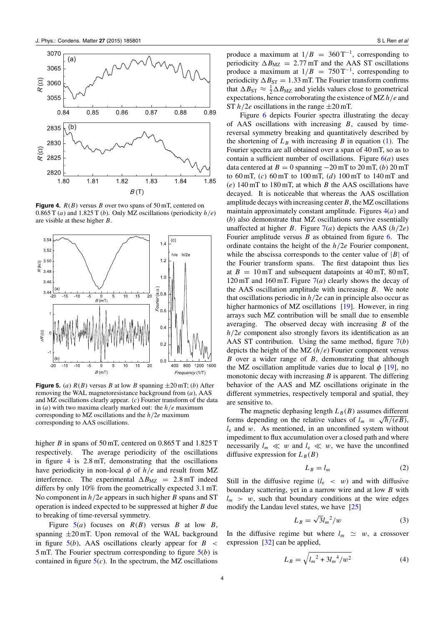<span id="page-3-0"></span>

**Figure 4.**  $R(B)$  versus *B* over two spans of 50 mT, centered on 0.865 T (*a*) and 1.825 T (*b*). Only MZ oscillations (periodicity  $h/e$ ) are visible at these higher *B*.



**Figure 5.** (*a*)  $R(B)$  versus *B* at low *B* spanning  $\pm 20$  mT; (*b*) After removing the WAL magnetoresistance background from (*a*), AAS and MZ oscillations clearly appear. (*c*) Fourier transform of the data in (*a*) with two maxima clearly marked out: the *h/e* maximum corresponding to MZ oscillations and the *h/*2*e* maximum corresponding to AAS oscillations.

higher *B* in spans of 50 mT, centered on 0.865 T and 1.825 T respectively. The average periodicity of the oscillations in figure 4 is 2.8 mT, demonstrating that the oscillations have periodicity in non-local *φ* of *h/e* and result from MZ interference. The experimental  $\Delta B_{\text{MZ}} = 2.8 \text{ mT}$  indeed differs by only 10% from the geometrically expected 3.1 mT. No component in *h/*2*e* appears in such higher *B* spans and ST operation is indeed expected to be suppressed at higher *B* due to breaking of time-reversal symmetry.

Figure  $5(a)$  focuses on  $R(B)$  versus *B* at low *B*, spanning  $\pm 20$  mT. Upon removal of the WAL background in figure 5(*b*), AAS oscillations clearly appear for *B <* 5 mT. The Fourier spectrum corresponding to figure 5(*b*) is contained in figure  $5(c)$ . In the spectrum, the MZ oscillations produce a maximum at  $1/B = 360 \text{ T}^{-1}$ , corresponding to periodicity  $\Delta B_{\text{MZ}} = 2.77 \text{ mT}$  and the AAS ST oscillations produce a maximum at  $1/B = 750 \text{ T}^{-1}$ , corresponding to periodicity  $\Delta B_{ST} = 1.33$  mT. The Fourier transform confirms that  $\Delta B_{ST} \approx \frac{1}{2} \Delta B_{MZ}$  and yields values close to geometrical expectations, hence corroborating the existence of MZ *h/e* and ST  $h/2e$  oscillations in the range  $\pm 20$  mT.

Figure [6](#page-4-0) depicts Fourier spectra illustrating the decay of AAS oscillations with increasing *B*, caused by timereversal symmetry breaking and quantitatively described by the shortening of  $L_B$  with increasing *B* in equation [\(1\)](#page-1-0). The Fourier spectra are all obtained over a span of 40 mT, so as to contain a sufficient number of oscillations. Figure  $6(a)$  $6(a)$  uses data centered at  $B = 0$  spanning  $-20$  mT to  $20$  mT, (*b*)  $20$  mT to 60 mT, (*c*) 60 mT to 100 mT, (*d*) 100 mT to 140 mT and (*e*) 140 mT to 180 mT, at which *B* the AAS oscillations have decayed. It is noticeable that whereas the AAS oscillation amplitude decays with increasing center*B*, the MZ oscillations maintain approximately constant amplitude. Figures 4(*a*) and (*b*) also demonstrate that MZ oscillations survive essentially unaffected at higher *B*. Figure  $7(a)$  $7(a)$  depicts the AAS  $(h/2e)$ Fourier amplitude versus *B* as obtained from figure [6.](#page-4-0) The ordinate contains the height of the *h/*2*e* Fourier component, while the abscissa corresponds to the center value of  $|B|$  of the Fourier transform spans. The first datapoint thus lies at  $B = 10$  mT and subsequent datapoints at  $40$  mT,  $80$  mT, 120 mT and 160 mT. Figure [7\(](#page-4-0)*a*) clearly shows the decay of the AAS oscillation amplitude with increasing *B*. We note that oscillations periodic in *h/*2*e* can in principle also occur as higher harmonics of MZ oscillations [\[19\]](#page-6-0). However, in ring arrays such MZ contribution will be small due to ensemble averaging. The observed decay with increasing *B* of the *h/*2*e* component also strongly favors its identification as an AAS ST contribution. Using the same method, figure [7\(](#page-4-0)*b*) depicts the height of the MZ (*h/e*) Fourier component versus *B* over a wider range of *B*, demonstrating that although the MZ oscillation amplitude varies due to local  $\phi$  [\[19\]](#page-6-0), no monotonic decay with increasing *B* is apparent. The differing behavior of the AAS and MZ oscillations originate in the different symmetries, respectively temporal and spatial, they are sensitive to.

The magnetic dephasing length  $L_B(B)$  assumes different forms depending on the relative values of  $l_m \equiv \sqrt{\hbar/(eB)}$ , *l*<sup>e</sup> and *w*. As mentioned, in an unconfined system without impediment to flux accumulation over a closed path and where necessarily  $l_m \ll w$  and  $l_e \ll w$ , we have the unconfined diffusive expression for  $L_B(B)$ 

$$
L_B = l_m \tag{2}
$$

Still in the diffusive regime  $(l_e \, \langle \, w \rangle)$  and with diffusive boundary scattering, yet in a narrow wire and at low *B* with  $l_m$  > w, such that boundary conditions at the wire edges modify the Landau level states, we have [\[25\]](#page-6-0)

$$
L_B = \sqrt{3}l_m^2/w \tag{3}
$$

In the diffusive regime but where  $l_m \simeq w$ , a crossover expression [\[32\]](#page-6-0) can be applied,

$$
L_B = \sqrt{l_m^2 + 3l_m^4/w^2}
$$
 (4)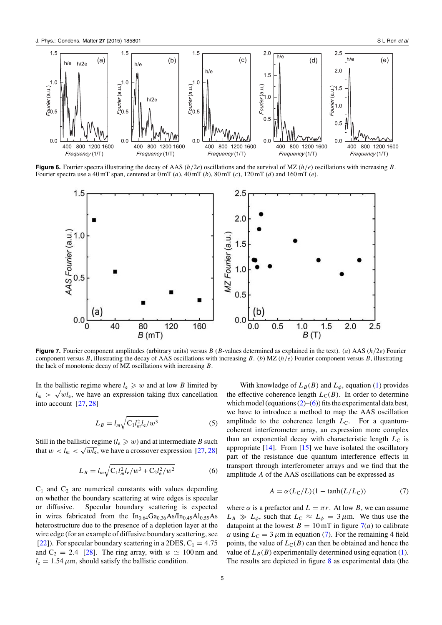<span id="page-4-0"></span>

**Figure 6.** Fourier spectra illustrating the decay of AAS (*h/*2*e*) oscillations and the survival of MZ (*h/e*) oscillations with increasing *B*. Fourier spectra use a 40 mT span, centered at 0 mT (*a*), 40 mT (*b*), 80 mT (*c*), 120 mT (*d*) and 160 mT (*e*).



**Figure 7.** Fourier component amplitudes (arbitrary units) versus *B* (*B*-values determined as explained in the text). (*a*) AAS (*h/*2*e*) Fourier component versus *B*, illustrating the decay of AAS oscillations with increasing *B*. (*b*) MZ (*h/e*) Fourier component versus *B*, illustrating the lack of monotonic decay of MZ oscillations with increasing *B*.

In the ballistic regime where  $l_e \geq w$  and at low *B* limited by  $l_m$  >  $\sqrt{wl_e}$ , we have an expression taking flux cancellation into account [\[27,](#page-6-0) [28\]](#page-6-0)

$$
L_B = l_m \sqrt{C_1 l_m^2 l_e / w^3}
$$
 (5)

Still in the ballistic regime ( $l_e \geqslant w$ ) and at intermediate *B* such that  $w < l_m < \sqrt{wl_e}$ , we have a crossover expression [\[27,](#page-6-0) [28\]](#page-6-0)

$$
L_B = l_m \sqrt{C_1 l_m^2 l_e / w^3 + C_2 l_e^2 / w^2}
$$
 (6)

 $C_1$  and  $C_2$  are numerical constants with values depending on whether the boundary scattering at wire edges is specular or diffusive. Specular boundary scattering is expected in wires fabricated from the In<sub>0.64</sub>Ga<sub>0.36</sub>As/In<sub>0.45</sub>Al<sub>0.55</sub>As heterostructure due to the presence of a depletion layer at the wire edge (for an example of diffusive boundary scattering, see [\[22\]](#page-6-0)). For specular boundary scattering in a 2DES,  $C_1 = 4.75$ and  $C_2 = 2.4$  [\[28\]](#page-6-0). The ring array, with  $w \approx 100$  nm and  $l_e = 1.54 \,\mu$ m, should satisfy the ballistic condition.

With knowledge of  $L_B(B)$  and  $L_\phi$ , equation [\(1\)](#page-1-0) provides the effective coherence length  $L<sub>C</sub>(B)$ . In order to determine which model (equations  $(2)$ –(6)) fits the experimental data best, we have to introduce a method to map the AAS oscillation amplitude to the coherence length  $L<sub>C</sub>$ . For a quantumcoherent interferometer array, an expression more complex than an exponential decay with characteristic length  $L<sub>C</sub>$  is appropriate  $[14]$ . From  $[15]$  we have isolated the oscillatory part of the resistance due quantum interference effects in transport through interferometer arrays and we find that the amplitude *A* of the AAS oscillations can be expressed as

$$
A = \alpha (L_{\rm C}/L)(1 - \tanh(L/L_{\rm C}))
$$
\n(7)

where  $\alpha$  is a prefactor and  $L = \pi r$ . At low *B*, we can assume  $L_B \gg L_\phi$ , such that  $L_C \approx L_\phi = 3 \,\mu \text{m}$ . We thus use the datapoint at the lowest  $B = 10$  mT in figure  $7(a)$  to calibrate *α* using  $L<sub>C</sub> = 3 \mu m$  in equation (7). For the remaining 4 field points, the value of  $L<sub>C</sub>(B)$  can then be obtained and hence the value of  $L_B(B)$  experimentally determined using equation [\(1\)](#page-1-0). The results are depicted in figure  $8$  as experimental data (the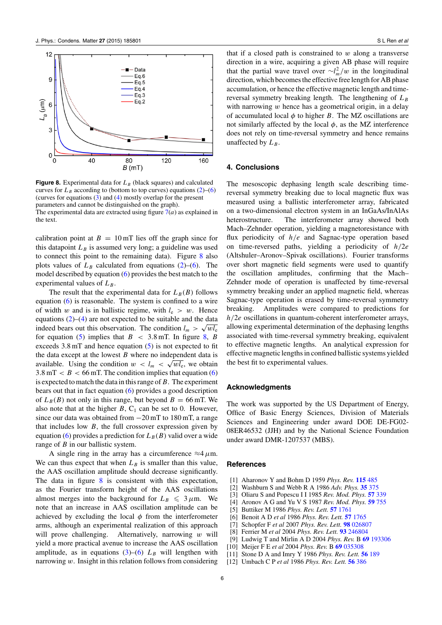<span id="page-5-0"></span>

**Figure 8.** Experimental data for  $L_B$  (black squares) and calculated curves for  $L_B$  according to (bottom to top curves) equations  $(2)$ –[\(6\)](#page-4-0) (curves for equations [\(3\)](#page-3-0) and [\(4\)](#page-3-0) mostly overlap for the present parameters and cannot be distinguished on the graph). The experimental data are extracted using figure  $7(a)$  $7(a)$  as explained in the text.

calibration point at  $B = 10$  mT lies off the graph since for this datapoint  $L_B$  is assumed very long; a guideline was used to connect this point to the remaining data). Figure 8 also plots values of  $L_B$  calculated from equations [\(2\)](#page-3-0)–[\(6\)](#page-4-0). The model described by equation [\(6\)](#page-4-0) provides the best match to the experimental values of  $L_B$ .

The result that the experimental data for  $L_B(B)$  follows equation [\(6\)](#page-4-0) is reasonable. The system is confined to a wire of width *w* and is in ballistic regime, with  $l_e > w$ . Hence equations  $(2)$ – $(4)$  are not expected to be suitable and the data indeed bears out this observation. The condition  $l_m > \sqrt{wl_e}$ for equation [\(5\)](#page-4-0) implies that  $B < 3.8$  mT. In figure 8, *B* exceeds 3.8 mT and hence equation [\(5\)](#page-4-0) is not expected to fit the data except at the lowest *B* where no independent data is available. Using the condition  $w < l_m < \sqrt{wl_e}$ , we obtain  $3.8 \text{ mT} < B < 66 \text{ mT}$ . The condition implies that equation [\(6\)](#page-4-0) is expected to match the data in this range of*B*. The experiment bears out that in fact equation [\(6\)](#page-4-0) provides a good description of  $L_B(B)$  not only in this range, but beyond  $B = 66$  mT. We also note that at the higher  $B$ ,  $C_1$  can be set to 0. However, since our data was obtained from −20 mT to 180 mT, a range that includes low *B*, the full crossover expression given by equation [\(6\)](#page-4-0) provides a prediction for  $L_B(B)$  valid over a wide range of *B* in our ballistic system.

A single ring in the array has a circumference  $\approx$ 4 $\mu$ m. We can thus expect that when  $L_B$  is smaller than this value, the AAS oscillation amplitude should decrease significantly. The data in figure  $8$  is consistent with this expectation, as the Fourier transform height of the AAS oscillations almost merges into the background for  $L_B \leq 3 \mu m$ . We note that an increase in AAS oscillation amplitude can be achieved by excluding the local  $\phi$  from the interferometer arms, although an experimental realization of this approach will prove challenging. Alternatively, narrowing *w* will yield a more practical avenue to increase the AAS oscillation amplitude, as in equations  $(3)$ – $(6)$   $L_B$  will lengthen with narrowing *w*. Insight in this relation follows from considering that if a closed path is constrained to *w* along a transverse direction in a wire, acquiring a given AB phase will require that the partial wave travel over  $\sim l_m^2/w$  in the longitudinal direction, which becomes the effective free length for AB phase accumulation, or hence the effective magnetic length and timereversal symmetry breaking length. The lengthening of  $L_B$ with narrowing *w* hence has a geometrical origin, in a delay of accumulated local  $\phi$  to higher *B*. The MZ oscillations are not similarly affected by the local *φ*, as the MZ interference does not rely on time-reversal symmetry and hence remains unaffected by  $L_B$ .

#### **4. Conclusions**

The mesoscopic dephasing length scale describing timereversal symmetry breaking due to local magnetic flux was measured using a ballistic interferometer array, fabricated on a two-dimensional electron system in an InGaAs/InAlAs heterostructure. The interferometer array showed both Mach–Zehnder operation, yielding a magnetoresistance with flux periodicity of *h/e* and Sagnac-type operation based on time-reversed paths, yielding a periodicity of *h/*2*e* (Altshuler–Aronov–Spivak oscillations). Fourier transforms over short magnetic field segments were used to quantify the oscillation amplitudes, confirming that the Mach– Zehnder mode of operation is unaffected by time-reversal symmetry breaking under an applied magnetic field, whereas Sagnac-type operation is erased by time-reversal symmetry breaking. Amplitudes were compared to predictions for *h/*2*e* oscillations in quantum-coherent interferometer arrays, allowing experimental determination of the dephasing lengths associated with time-reversal symmetry breaking, equivalent to effective magnetic lengths. An analytical expression for effective magnetic lengths in confined ballistic systems yielded the best fit to experimental values.

#### **Acknowledgments**

The work was supported by the US Department of Energy, Office of Basic Energy Sciences, Division of Materials Sciences and Engineering under award DOE DE-FG02- 08ER46532 (JJH) and by the National Science Foundation under award DMR-1207537 (MBS).

#### **References**

- [1] Aharonov Y and Bohm D 1959 *Phys. Rev.* **[115](http://dx.doi.org/10.1103/PhysRev.115.485)** 485
- [2] Washburn S and Webb R A 1986 *Adv. Phys.* **35** [375](http://dx.doi.org/10.1080/00018738600101921)
- [3] Oliaru S and Popescu I I 1985 *Rev. Mod. Phys.* **57** [339](http://dx.doi.org/10.1103/RevModPhys.57.339)
- [4] Aronov A G and Yu V S 1987 *Rev. Mod. Phys.* **59** [755](http://dx.doi.org/10.1103/RevModPhys.59.755)
- [5] Buttiker M 1986 *Phys. Rev. Lett.* **57** [1761](http://dx.doi.org/10.1103/PhysRevLett.57.1761)
- [6] Benoit A D *et al* 1986 *Phys. Rev. Lett.* **57** [1765](http://dx.doi.org/10.1103/PhysRevLett.57.1765)
- [7] Schopfer F *et al* 2007 *Phys. Rev. Lett.* **98** [026807](http://dx.doi.org/10.1103/PhysRevLett.98.026807)
- [8] Ferrier M *et al* 2004 *Phys. Rev. Lett.* **93** [246804](http://dx.doi.org/10.1103/PhysRevLett.93.246804)
- [9] Ludwig T and Mirlin A D 2004 *Phys. Rev.* B **69** [193306](http://dx.doi.org/10.1103/PhysRevB.69.193306)
- [10] Meijer F E *et al* 2004 *Phys. Rev.* B **69** [035308](http://dx.doi.org/10.1103/PhysRevB.69.035308)
- [11] Stone D A and Imry Y 1986 *Phys. Rev. Lett.* **56** [189](http://dx.doi.org/10.1103/PhysRevLett.56.189)
- [12] Umbach C P *et al* 1986 *Phys. Rev. Lett.* **56** [386](http://dx.doi.org/10.1103/PhysRevLett.56.386)